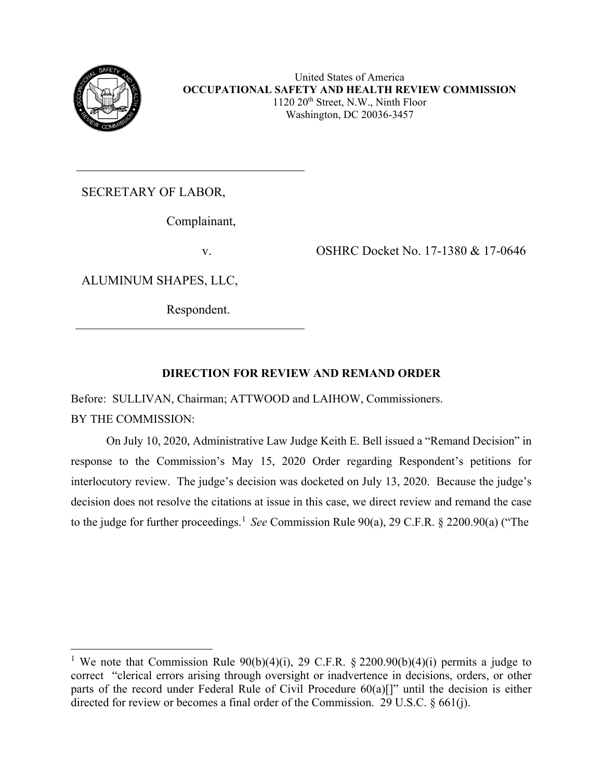

SECRETARY OF LABOR,

Complainant,

ALUMINUM SHAPES, LLC,

Respondent.

v. OSHRC Docket No. 17-1380 & 17-0646

# **DIRECTION FOR REVIEW AND REMAND ORDER**

Before: SULLIVAN, Chairman; ATTWOOD and LAIHOW, Commissioners.

BY THE COMMISSION:

On July 10, 2020, Administrative Law Judge Keith E. Bell issued a "Remand Decision" in response to the Commission's May 15, 2020 Order regarding Respondent's petitions for interlocutory review. The judge's decision was docketed on July 13, 2020. Because the judge's decision does not resolve the citations at issue in this case, we direct review and remand the case to the judge for further proceedings. [1](#page-0-0) *See* Commission Rule 90(a), 29 C.F.R. § 2200.90(a) ("The

<span id="page-0-0"></span><sup>&</sup>lt;sup>1</sup> We note that Commission Rule  $90(b)(4)(i)$ , 29 C.F.R. § 2200.90(b)(4)(i) permits a judge to correct "clerical errors arising through oversight or inadvertence in decisions, orders, or other parts of the record under Federal Rule of Civil Procedure 60(a)[]" until the decision is either directed for review or becomes a final order of the Commission. 29 U.S.C. § 661(j).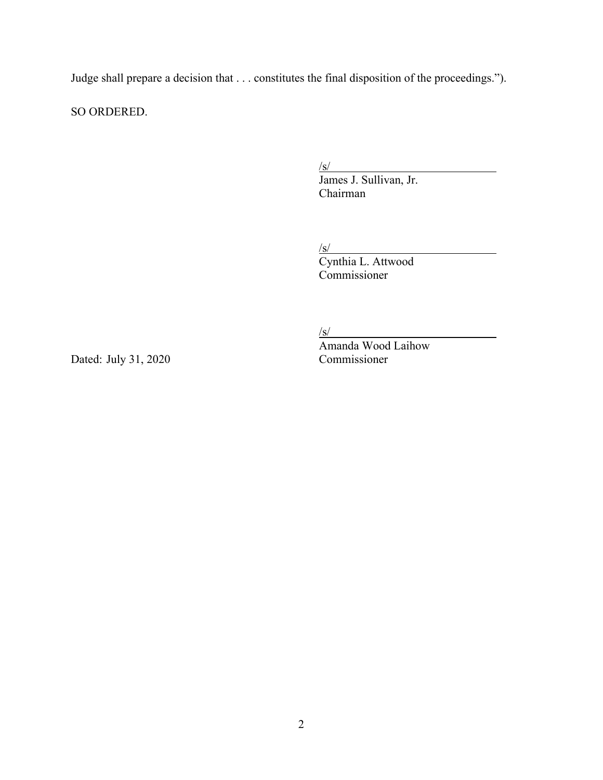Judge shall prepare a decision that . . . constitutes the final disposition of the proceedings.").

SO ORDERED.

/s/

James J. Sullivan, Jr. Chairman

/s/

Cynthia L. Attwood Commissioner

 $/s/$ 

Amanda Wood Laihow Dated: July 31, 2020 Commissioner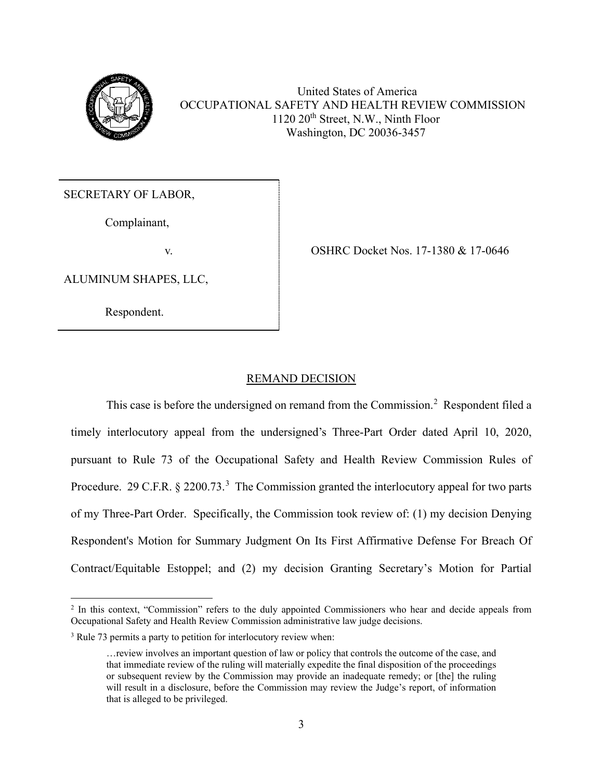

United States of America OCCUPATIONAL SAFETY AND HEALTH REVIEW COMMISSION 1120 20th Street, N.W., Ninth Floor Washington, DC 20036-3457

SECRETARY OF LABOR,

Complainant,

ALUMINUM SHAPES, LLC,

Respondent.

v. CSHRC Docket Nos. 17-1380 & 17-0646

## REMAND DECISION

This case is before the undersigned on remand from the Commission.<sup>[2](#page-2-0)</sup> Respondent filed a timely interlocutory appeal from the undersigned's Three-Part Order dated April 10, 2020, pursuant to Rule 73 of the Occupational Safety and Health Review Commission Rules of Procedure. 29 C.F.R.  $\S 2200.73$  $\S 2200.73$ .<sup>3</sup> The Commission granted the interlocutory appeal for two parts of my Three-Part Order. Specifically, the Commission took review of: (1) my decision Denying Respondent's Motion for Summary Judgment On Its First Affirmative Defense For Breach Of Contract/Equitable Estoppel; and (2) my decision Granting Secretary's Motion for Partial

<span id="page-2-0"></span><sup>&</sup>lt;sup>2</sup> In this context, "Commission" refers to the duly appointed Commissioners who hear and decide appeals from Occupational Safety and Health Review Commission administrative law judge decisions.

<span id="page-2-1"></span><sup>&</sup>lt;sup>3</sup> Rule 73 permits a party to petition for interlocutory review when:

<sup>…</sup>review involves an important question of law or policy that controls the outcome of the case, and that immediate review of the ruling will materially expedite the final disposition of the proceedings or subsequent review by the Commission may provide an inadequate remedy; or [the] the ruling will result in a disclosure, before the Commission may review the Judge's report, of information that is alleged to be privileged.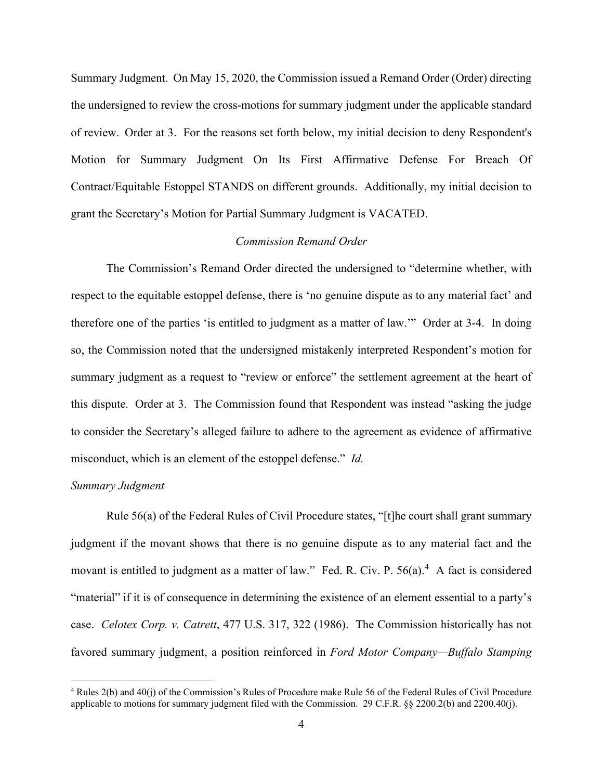Summary Judgment. On May 15, 2020, the Commission issued a Remand Order (Order) directing the undersigned to review the cross-motions for summary judgment under the applicable standard of review. Order at 3. For the reasons set forth below, my initial decision to deny Respondent's Motion for Summary Judgment On Its First Affirmative Defense For Breach Of Contract/Equitable Estoppel STANDS on different grounds. Additionally, my initial decision to grant the Secretary's Motion for Partial Summary Judgment is VACATED.

#### *Commission Remand Order*

The Commission's Remand Order directed the undersigned to "determine whether, with respect to the equitable estoppel defense, there is 'no genuine dispute as to any material fact' and therefore one of the parties 'is entitled to judgment as a matter of law.'" Order at 3-4. In doing so, the Commission noted that the undersigned mistakenly interpreted Respondent's motion for summary judgment as a request to "review or enforce" the settlement agreement at the heart of this dispute. Order at 3. The Commission found that Respondent was instead "asking the judge to consider the Secretary's alleged failure to adhere to the agreement as evidence of affirmative misconduct, which is an element of the estoppel defense." *Id.* 

## *Summary Judgment*

Rule 56(a) of the Federal Rules of Civil Procedure states, "[t]he court shall grant summary judgment if the movant shows that there is no genuine dispute as to any material fact and the movant is entitled to judgment as a matter of law." Fed. R. Civ. P. 56(a).<sup>[4](#page-3-0)</sup> A fact is considered "material" if it is of consequence in determining the existence of an element essential to a party's case. *Celotex Corp. v. Catrett*, 477 U.S. 317, 322 (1986). The Commission historically has not favored summary judgment, a position reinforced in *Ford Motor Company—Buffalo Stamping* 

<span id="page-3-0"></span><sup>4</sup> Rules 2(b) and 40(j) of the Commission's Rules of Procedure make Rule 56 of the Federal Rules of Civil Procedure applicable to motions for summary judgment filed with the Commission. 29 C.F.R. §§ 2200.2(b) and 2200.40(j).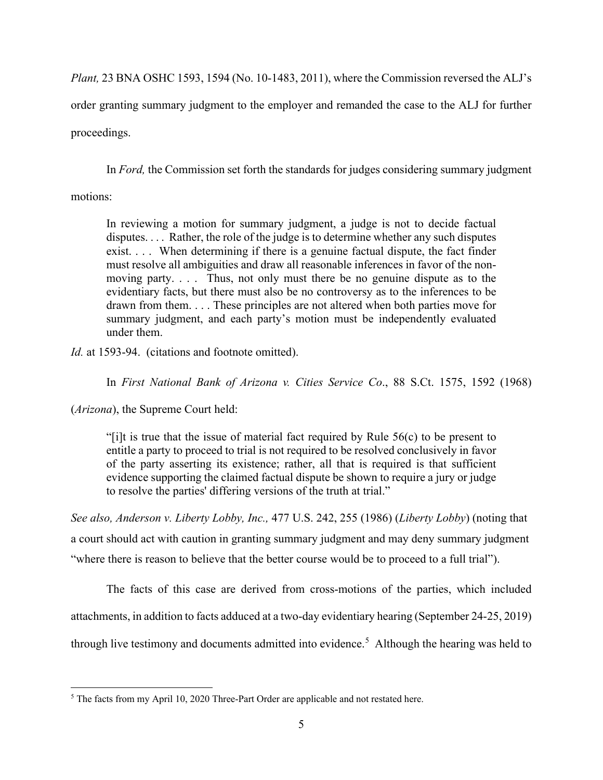*Plant,* 23 BNA OSHC 1593, 1594 (No. 10-1483, 2011), where the Commission reversed the ALJ's order granting summary judgment to the employer and remanded the case to the ALJ for further proceedings.

In *Ford,* the Commission set forth the standards for judges considering summary judgment

motions:

In reviewing a motion for summary judgment, a judge is not to decide factual disputes. . . . Rather, the role of the judge is to determine whether any such disputes exist. . . . When determining if there is a genuine factual dispute, the fact finder must resolve all ambiguities and draw all reasonable inferences in favor of the nonmoving party. . . . Thus, not only must there be no genuine dispute as to the evidentiary facts, but there must also be no controversy as to the inferences to be drawn from them. . . . These principles are not altered when both parties move for summary judgment, and each party's motion must be independently evaluated under them.

*Id.* at 1593-94. (citations and footnote omitted).

In *First National Bank of Arizona v. Cities Service Co*., 88 S.Ct. 1575, 1592 (1968)

(*Arizona*), the Supreme Court held:

"[i]t is true that the issue of material fact required by Rule 56(c) to be present to entitle a party to proceed to trial is not required to be resolved conclusively in favor of the party asserting its existence; rather, all that is required is that sufficient evidence supporting the claimed factual dispute be shown to require a jury or judge to resolve the parties' differing versions of the truth at trial."

*See also, Anderson v. Liberty Lobby, Inc.,* 477 U.S. 242, 255 (1986) (*Liberty Lobby*) (noting that a court should act with caution in granting summary judgment and may deny summary judgment "where there is reason to believe that the better course would be to proceed to a full trial").

The facts of this case are derived from cross-motions of the parties, which included attachments, in addition to facts adduced at a two-day evidentiary hearing (September 24-25, 2019) through live testimony and documents admitted into evidence.<sup>[5](#page-4-0)</sup> Although the hearing was held to

<span id="page-4-0"></span><sup>&</sup>lt;sup>5</sup> The facts from my April 10, 2020 Three-Part Order are applicable and not restated here.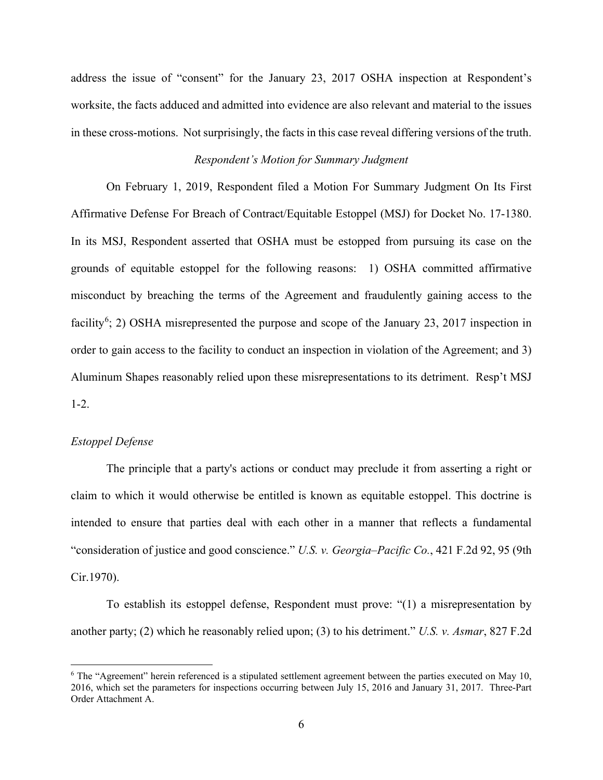address the issue of "consent" for the January 23, 2017 OSHA inspection at Respondent's worksite, the facts adduced and admitted into evidence are also relevant and material to the issues in these cross-motions. Not surprisingly, the facts in this case reveal differing versions of the truth.

## *Respondent's Motion for Summary Judgment*

On February 1, 2019, Respondent filed a Motion For Summary Judgment On Its First Affirmative Defense For Breach of Contract/Equitable Estoppel (MSJ) for Docket No. 17-1380. In its MSJ, Respondent asserted that OSHA must be estopped from pursuing its case on the grounds of equitable estoppel for the following reasons: 1) OSHA committed affirmative misconduct by breaching the terms of the Agreement and fraudulently gaining access to the facility<sup>[6](#page-5-0)</sup>; 2) OSHA misrepresented the purpose and scope of the January 23, 2017 inspection in order to gain access to the facility to conduct an inspection in violation of the Agreement; and 3) Aluminum Shapes reasonably relied upon these misrepresentations to its detriment. Resp't MSJ 1-2.

## *Estoppel Defense*

The principle that a party's actions or conduct may preclude it from asserting a right or claim to which it would otherwise be entitled is known as equitable estoppel. This doctrine is intended to ensure that parties deal with each other in a manner that reflects a fundamental "consideration of justice and good conscience." *U.S. v. Georgia–Pacific Co.*, 421 F.2d 92, 95 (9th Cir.1970).

To establish its estoppel defense, Respondent must prove: "(1) a misrepresentation by another party; (2) which he reasonably relied upon; (3) to his detriment." *U.S. v. Asmar*, 827 F.2d

<span id="page-5-0"></span><sup>6</sup> The "Agreement" herein referenced is a stipulated settlement agreement between the parties executed on May 10, 2016, which set the parameters for inspections occurring between July 15, 2016 and January 31, 2017. Three-Part Order Attachment A.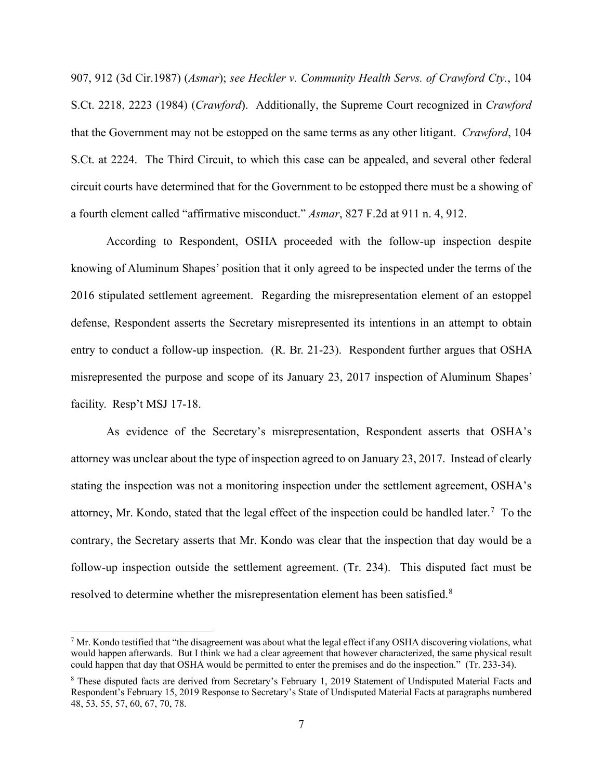907, 912 (3d Cir.1987) (*Asmar*); *see Heckler v. Community Health Servs. of Crawford Cty.*, 104 S.Ct. 2218, 2223 (1984) (*Crawford*). Additionally, the Supreme Court recognized in *Crawford* that the Government may not be estopped on the same terms as any other litigant. *Crawford*, 104 S.Ct. at 2224. The Third Circuit, to which this case can be appealed, and several other federal circuit courts have determined that for the Government to be estopped there must be a showing of a fourth element called "affirmative misconduct." *Asmar*, 827 F.2d at 911 n. 4, 912.

According to Respondent, OSHA proceeded with the follow-up inspection despite knowing of Aluminum Shapes' position that it only agreed to be inspected under the terms of the 2016 stipulated settlement agreement. Regarding the misrepresentation element of an estoppel defense, Respondent asserts the Secretary misrepresented its intentions in an attempt to obtain entry to conduct a follow-up inspection. (R. Br. 21-23). Respondent further argues that OSHA misrepresented the purpose and scope of its January 23, 2017 inspection of Aluminum Shapes' facility. Resp't MSJ 17-18.

As evidence of the Secretary's misrepresentation, Respondent asserts that OSHA's attorney was unclear about the type of inspection agreed to on January 23, 2017. Instead of clearly stating the inspection was not a monitoring inspection under the settlement agreement, OSHA's attorney, Mr. Kondo, stated that the legal effect of the inspection could be handled later.<sup>[7](#page-6-0)</sup> To the contrary, the Secretary asserts that Mr. Kondo was clear that the inspection that day would be a follow-up inspection outside the settlement agreement. (Tr. 234). This disputed fact must be resolved to determine whether the misrepresentation element has been satisfied. $8$ 

<span id="page-6-0"></span> $<sup>7</sup>$  Mr. Kondo testified that "the disagreement was about what the legal effect if any OSHA discovering violations, what</sup> would happen afterwards. But I think we had a clear agreement that however characterized, the same physical result could happen that day that OSHA would be permitted to enter the premises and do the inspection." (Tr. 233-34).

<span id="page-6-1"></span><sup>8</sup> These disputed facts are derived from Secretary's February 1, 2019 Statement of Undisputed Material Facts and Respondent's February 15, 2019 Response to Secretary's State of Undisputed Material Facts at paragraphs numbered 48, 53, 55, 57, 60, 67, 70, 78.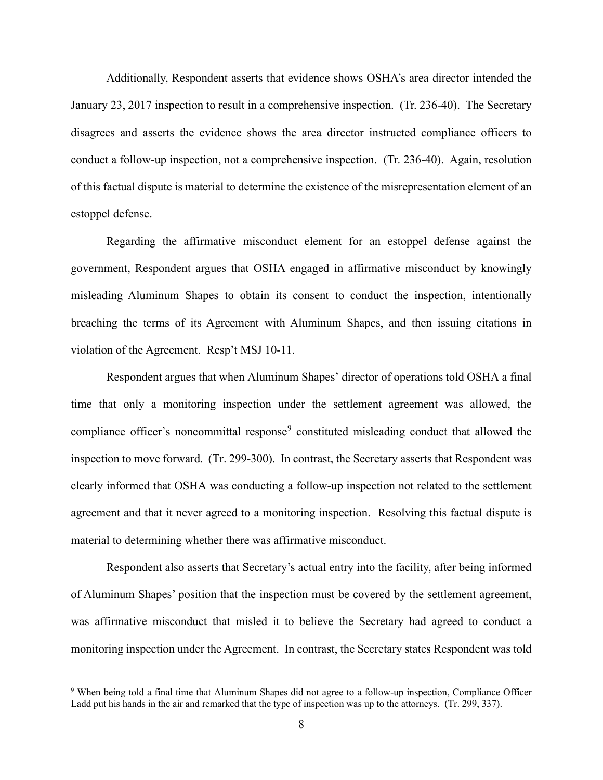Additionally, Respondent asserts that evidence shows OSHA's area director intended the January 23, 2017 inspection to result in a comprehensive inspection. (Tr. 236-40). The Secretary disagrees and asserts the evidence shows the area director instructed compliance officers to conduct a follow-up inspection, not a comprehensive inspection. (Tr. 236-40). Again, resolution of this factual dispute is material to determine the existence of the misrepresentation element of an estoppel defense.

Regarding the affirmative misconduct element for an estoppel defense against the government, Respondent argues that OSHA engaged in affirmative misconduct by knowingly misleading Aluminum Shapes to obtain its consent to conduct the inspection, intentionally breaching the terms of its Agreement with Aluminum Shapes, and then issuing citations in violation of the Agreement. Resp't MSJ 10-11.

Respondent argues that when Aluminum Shapes' director of operations told OSHA a final time that only a monitoring inspection under the settlement agreement was allowed, the compliance officer's noncommittal response<sup>[9](#page-7-0)</sup> constituted misleading conduct that allowed the inspection to move forward. (Tr. 299-300). In contrast, the Secretary asserts that Respondent was clearly informed that OSHA was conducting a follow-up inspection not related to the settlement agreement and that it never agreed to a monitoring inspection. Resolving this factual dispute is material to determining whether there was affirmative misconduct.

Respondent also asserts that Secretary's actual entry into the facility, after being informed of Aluminum Shapes' position that the inspection must be covered by the settlement agreement, was affirmative misconduct that misled it to believe the Secretary had agreed to conduct a monitoring inspection under the Agreement. In contrast, the Secretary states Respondent was told

<span id="page-7-0"></span><sup>9</sup> When being told a final time that Aluminum Shapes did not agree to a follow-up inspection, Compliance Officer Ladd put his hands in the air and remarked that the type of inspection was up to the attorneys. (Tr. 299, 337).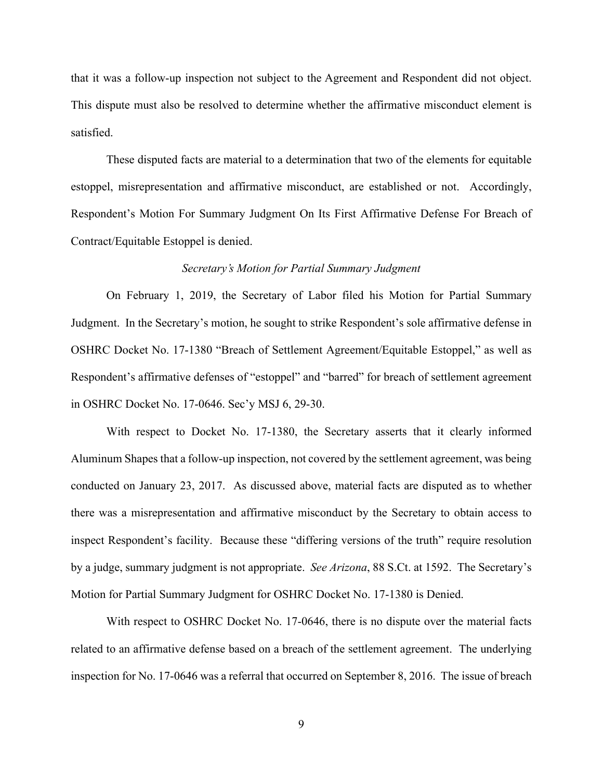that it was a follow-up inspection not subject to the Agreement and Respondent did not object. This dispute must also be resolved to determine whether the affirmative misconduct element is satisfied.

These disputed facts are material to a determination that two of the elements for equitable estoppel, misrepresentation and affirmative misconduct, are established or not. Accordingly, Respondent's Motion For Summary Judgment On Its First Affirmative Defense For Breach of Contract/Equitable Estoppel is denied.

#### *Secretary's Motion for Partial Summary Judgment*

On February 1, 2019, the Secretary of Labor filed his Motion for Partial Summary Judgment. In the Secretary's motion, he sought to strike Respondent's sole affirmative defense in OSHRC Docket No. 17-1380 "Breach of Settlement Agreement/Equitable Estoppel," as well as Respondent's affirmative defenses of "estoppel" and "barred" for breach of settlement agreement in OSHRC Docket No. 17-0646. Sec'y MSJ 6, 29-30.

With respect to Docket No. 17-1380, the Secretary asserts that it clearly informed Aluminum Shapes that a follow-up inspection, not covered by the settlement agreement, was being conducted on January 23, 2017. As discussed above, material facts are disputed as to whether there was a misrepresentation and affirmative misconduct by the Secretary to obtain access to inspect Respondent's facility. Because these "differing versions of the truth" require resolution by a judge, summary judgment is not appropriate. *See Arizona*, 88 S.Ct. at 1592. The Secretary's Motion for Partial Summary Judgment for OSHRC Docket No. 17-1380 is Denied.

With respect to OSHRC Docket No. 17-0646, there is no dispute over the material facts related to an affirmative defense based on a breach of the settlement agreement. The underlying inspection for No. 17-0646 was a referral that occurred on September 8, 2016. The issue of breach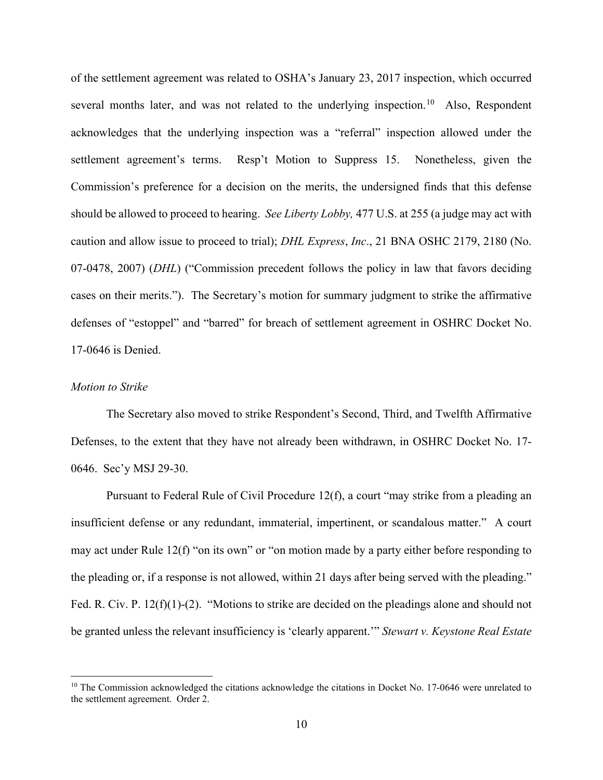of the settlement agreement was related to OSHA's January 23, 2017 inspection, which occurred several months later, and was not related to the underlying inspection.<sup>[10](#page-9-0)</sup> Also, Respondent acknowledges that the underlying inspection was a "referral" inspection allowed under the settlement agreement's terms. Resp't Motion to Suppress 15. Nonetheless, given the Commission's preference for a decision on the merits, the undersigned finds that this defense should be allowed to proceed to hearing. *See Liberty Lobby,* 477 U.S. at 255 (a judge may act with caution and allow issue to proceed to trial); *DHL Express*, *Inc*., 21 BNA OSHC 2179, 2180 (No. 07-0478, 2007) (*DHL*) ("Commission precedent follows the policy in law that favors deciding cases on their merits."). The Secretary's motion for summary judgment to strike the affirmative defenses of "estoppel" and "barred" for breach of settlement agreement in OSHRC Docket No. 17-0646 is Denied.

#### *Motion to Strike*

The Secretary also moved to strike Respondent's Second, Third, and Twelfth Affirmative Defenses, to the extent that they have not already been withdrawn, in OSHRC Docket No. 17- 0646. Sec'y MSJ 29-30.

Pursuant to Federal Rule of Civil Procedure 12(f), a court "may strike from a pleading an insufficient defense or any redundant, immaterial, impertinent, or scandalous matter." A court may act under Rule 12(f) "on its own" or "on motion made by a party either before responding to the pleading or, if a response is not allowed, within 21 days after being served with the pleading." Fed. R. Civ. P. 12(f)(1)-(2). "Motions to strike are decided on the pleadings alone and should not be granted unless the relevant insufficiency is 'clearly apparent.'" *Stewart v. Keystone Real Estate* 

<span id="page-9-0"></span><sup>&</sup>lt;sup>10</sup> The Commission acknowledged the citations acknowledge the citations in Docket No. 17-0646 were unrelated to the settlement agreement. Order 2.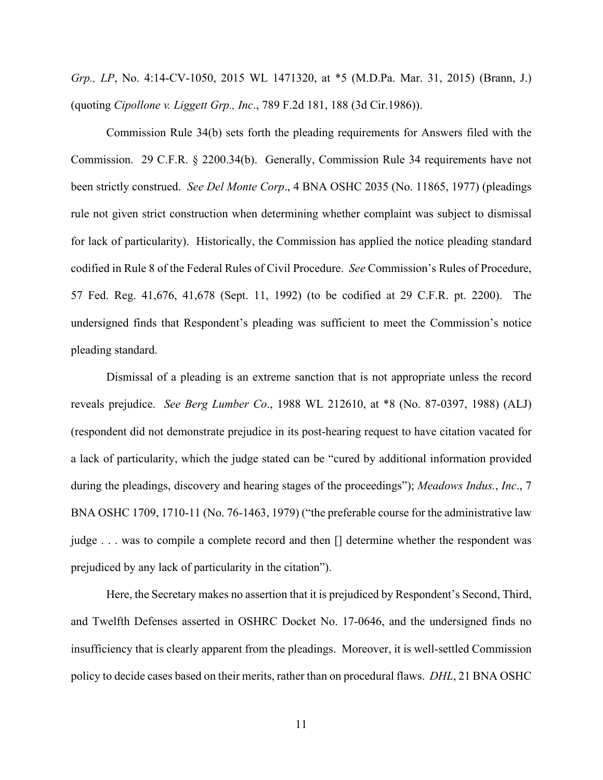*Grp., LP*, No. 4:14-CV-1050, 2015 WL 1471320, at \*5 (M.D.Pa. Mar. 31, 2015) (Brann, J.) (quoting *Cipollone v. Liggett Grp., Inc*., 789 F.2d 181, 188 (3d Cir.1986)).

Commission Rule 34(b) sets forth the pleading requirements for Answers filed with the Commission. 29 C.F.R. § 2200.34(b). Generally, Commission Rule 34 requirements have not been strictly construed. *See Del Monte Corp*., 4 BNA OSHC 2035 (No. 11865, 1977) (pleadings rule not given strict construction when determining whether complaint was subject to dismissal for lack of particularity). Historically, the Commission has applied the notice pleading standard codified in Rule 8 of the Federal Rules of Civil Procedure. *See* Commission's Rules of Procedure, 57 Fed. Reg. 41,676, 41,678 (Sept. 11, 1992) (to be codified at 29 C.F.R. pt. 2200). The undersigned finds that Respondent's pleading was sufficient to meet the Commission's notice pleading standard.

Dismissal of a pleading is an extreme sanction that is not appropriate unless the record reveals prejudice. *See Berg Lumber Co*., 1988 WL 212610, at \*8 (No. 87-0397, 1988) (ALJ) (respondent did not demonstrate prejudice in its post-hearing request to have citation vacated for a lack of particularity, which the judge stated can be "cured by additional information provided during the pleadings, discovery and hearing stages of the proceedings"); *Meadows Indus.*, *Inc*., 7 BNA OSHC 1709, 1710-11 (No. 76-1463, 1979) ("the preferable course for the administrative law judge . . . was to compile a complete record and then [] determine whether the respondent was prejudiced by any lack of particularity in the citation").

Here, the Secretary makes no assertion that it is prejudiced by Respondent's Second, Third, and Twelfth Defenses asserted in OSHRC Docket No. 17-0646, and the undersigned finds no insufficiency that is clearly apparent from the pleadings. Moreover, it is well-settled Commission policy to decide cases based on their merits, rather than on procedural flaws. *DHL*, 21 BNA OSHC